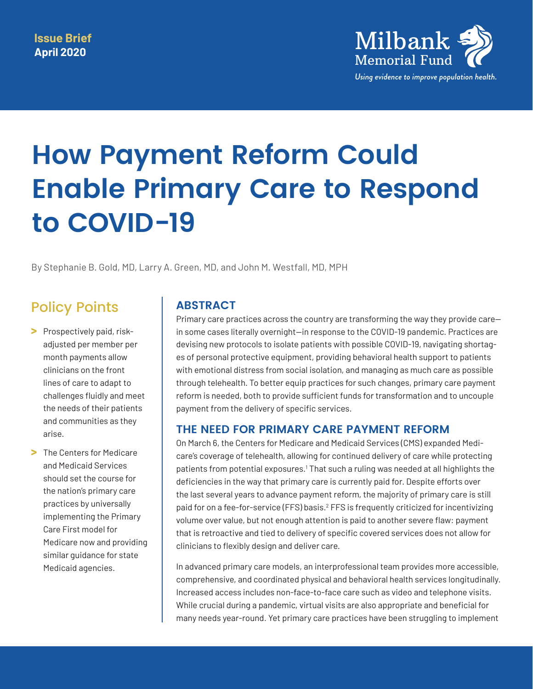

# **How Payment Reform Could Enable Primary Care to Respond to COVID-19**

By Stephanie B. Gold, MD, Larry A. Green, MD, and John M. Westfall, MD, MPH

# Policy Points

- **>** Prospectively paid, riskadjusted per member per month payments allow clinicians on the front lines of care to adapt to challenges fluidly and meet the needs of their patients and communities as they arise.
- **>** The Centers for Medicare and Medicaid Services should set the course for the nation's primary care practices by universally implementing the Primary Care First model for Medicare now and providing similar guidance for state Medicaid agencies.

# **ABSTRACT**

Primary care practices across the country are transforming the way they provide care in some cases literally overnight—in response to the COVID-19 pandemic. Practices are devising new protocols to isolate patients with possible COVID-19, navigating shortages of personal protective equipment, providing behavioral health support to patients with emotional distress from social isolation, and managing as much care as possible through telehealth. To better equip practices for such changes, primary care payment reform is needed, both to provide sufficient funds for transformation and to uncouple payment from the delivery of specific services.

#### **THE NEED FOR PRIMARY CARE PAYMENT REFORM**

On March 6, the Centers for Medicare and Medicaid Services (CMS) expanded Medicare's coverage of telehealth, allowing for continued delivery of care while protecting patients from potential exposures.<sup>1</sup> That such a ruling was needed at all highlights the deficiencies in the way that primary care is currently paid for. Despite efforts over the last several years to advance payment reform, the majority of primary care is still paid for on a fee-for-service (FFS) basis.<sup>[2](#page-4-1)</sup> FFS is frequently criticized for incentivizing volume over value, but not enough attention is paid to another severe flaw: payment that is retroactive and tied to delivery of specific covered services does not allow for clinicians to flexibly design and deliver care.

In advanced primary care models, an interprofessional team provides more accessible, comprehensive, and coordinated physical and behavioral health services longitudinally. Increased access includes non-face-to-face care such as video and telephone visits. While crucial during a pandemic, virtual visits are also appropriate and beneficial for many needs year-round. Yet primary care practices have been struggling to implement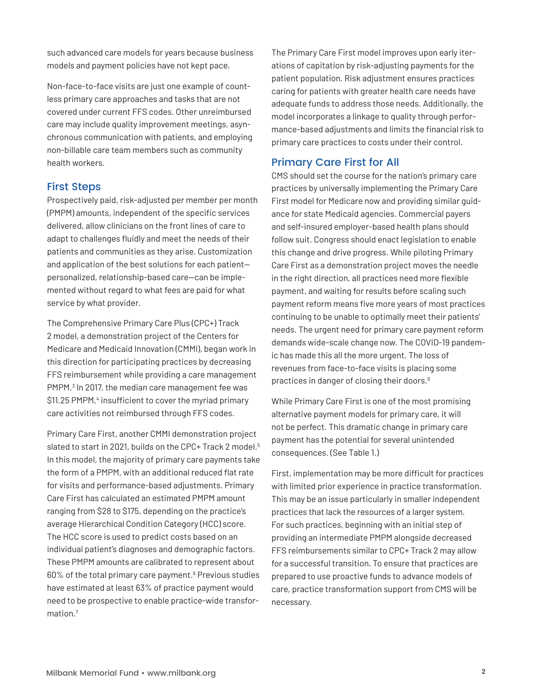such advanced care models for years because business models and payment policies have not kept pace.

Non-face-to-face visits are just one example of countless primary care approaches and tasks that are not covered under current FFS codes. Other unreimbursed care may include quality improvement meetings, asynchronous communication with patients, and employing non-billable care team members such as community health workers.

#### First Steps

Prospectively paid, risk-adjusted per member per month (PMPM) amounts, independent of the specific services delivered, allow clinicians on the front lines of care to adapt to challenges fluidly and meet the needs of their patients and communities as they arise. Customization and application of the best solutions for each patient personalized, relationship-based care—can be implemented without regard to what fees are paid for what service by what provider.

The Comprehensive Primary Care Plus (CPC+) Track 2 model, a demonstration project of the Centers for Medicare and Medicaid Innovation (CMMI), began work in this direction for participating practices by decreasing FFS reimbursement while providing a care management PMPM.<sup>[3](#page-4-2)</sup> In 2017, the median care management fee was \$11.25 PMPM,<sup>[4](#page-4-3)</sup> insufficient to cover the myriad primary care activities not reimbursed through FFS codes.

Primary Care First, another CMMI demonstration project slated to start in 2021, builds on the CPC+ Track 2 model.<sup>[5](#page-4-4)</sup> In this model, the majority of primary care payments take the form of a PMPM, with an additional reduced flat rate for visits and performance-based adjustments. Primary Care First has calculated an estimated PMPM amount ranging from \$28 to \$175, depending on the practice's average Hierarchical Condition Category (HCC) score. The HCC score is used to predict costs based on an individual patient's diagnoses and demographic factors. These PMPM amounts are calibrated to represent about [6](#page-4-5)0% of the total primary care payment.<sup>6</sup> Previous studies have estimated at least 63% of practice payment would need to be prospective to enable practice-wide transformation.[7](#page-4-6)

The Primary Care First model improves upon early iterations of capitation by risk-adjusting payments for the patient population. Risk adjustment ensures practices caring for patients with greater health care needs have adequate funds to address those needs. Additionally, the model incorporates a linkage to quality through performance-based adjustments and limits the financial risk to primary care practices to costs under their control.

#### Primary Care First for All

CMS should set the course for the nation's primary care practices by universally implementing the Primary Care First model for Medicare now and providing similar guidance for state Medicaid agencies. Commercial payers and self-insured employer-based health plans should follow suit. Congress should enact legislation to enable this change and drive progress. While piloting Primary Care First as a demonstration project moves the needle in the right direction, all practices need more flexible payment, and waiting for results before scaling such payment reform means five more years of most practices continuing to be unable to optimally meet their patients' needs. The urgent need for primary care payment reform demands wide-scale change now. The COVID-19 pandemic has made this all the more urgent. The loss of revenues from face-to-face visits is placing some practices in danger of closing their doors[.8](#page-4-7)

While Primary Care First is one of the most promising alternative payment models for primary care, it will not be perfect. This dramatic change in primary care payment has the potential for several unintended consequences. (See Table 1.)

First, implementation may be more difficult for practices with limited prior experience in practice transformation. This may be an issue particularly in smaller independent practices that lack the resources of a larger system. For such practices, beginning with an initial step of providing an intermediate PMPM alongside decreased FFS reimbursements similar to CPC+ Track 2 may allow for a successful transition. To ensure that practices are prepared to use proactive funds to advance models of care, practice transformation support from CMS will be necessary.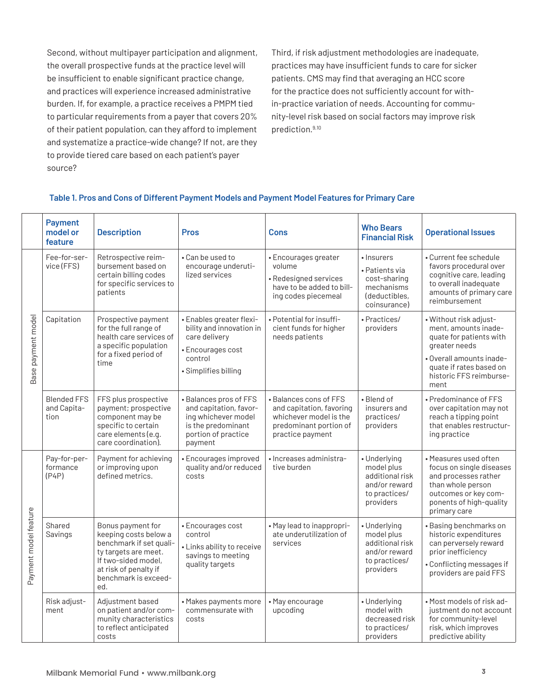Second, without multipayer participation and alignment, the overall prospective funds at the practice level will be insufficient to enable significant practice change, and practices will experience increased administrative burden. If, for example, a practice receives a PMPM tied to particular requirements from a payer that covers 20% of their patient population, can they afford to implement and systematize a practice-wide change? If not, are they to provide tiered care based on each patient's payer source?

Third, if risk adjustment methodologies are inadequate, practices may have insufficient funds to care for sicker patients. CMS may find that averaging an HCC score for the practice does not sufficiently account for within-practice variation of needs. Accounting for community-level risk based on social factors may improve risk prediction[.9](#page-4-8),[10](#page-4-9)

#### **Table 1. Pros and Cons of Different Payment Models and Payment Model Features for Primary Care**

|                       | <b>Payment</b><br>model or<br>feature     | <b>Description</b>                                                                                                                                                           | <b>Pros</b>                                                                                                                     | <b>Cons</b>                                                                                                                | <b>Who Bears</b><br><b>Financial Risk</b>                                                    | <b>Operational Issues</b>                                                                                                                                                            |
|-----------------------|-------------------------------------------|------------------------------------------------------------------------------------------------------------------------------------------------------------------------------|---------------------------------------------------------------------------------------------------------------------------------|----------------------------------------------------------------------------------------------------------------------------|----------------------------------------------------------------------------------------------|--------------------------------------------------------------------------------------------------------------------------------------------------------------------------------------|
| Base payment model    | Fee-for-ser-<br>vice (FFS)                | Retrospective reim-<br>bursement based on<br>certain billing codes<br>for specific services to<br>patients                                                                   | • Can be used to<br>encourage underuti-<br>lized services                                                                       | • Encourages greater<br>volume<br>• Redesigned services<br>have to be added to bill-<br>ing codes piecemeal                | • Insurers<br>• Patients via<br>cost-sharing<br>mechanisms<br>(deductibles,<br>coinsurance)  | • Current fee schedule<br>favors procedural over<br>cognitive care, leading<br>to overall inadequate<br>amounts of primary care<br>reimbursement                                     |
|                       | Capitation                                | Prospective payment<br>for the full range of<br>health care services of<br>a specific population<br>for a fixed period of<br>time                                            | • Enables greater flexi-<br>bility and innovation in<br>care delivery<br>• Encourages cost<br>control<br>• Simplifies billing   | · Potential for insuffi-<br>cient funds for higher<br>needs patients                                                       | · Practices/<br>providers                                                                    | • Without risk adjust-<br>ment, amounts inade-<br>quate for patients with<br>greater needs<br>· Overall amounts inade-<br>quate if rates based on<br>historic FFS reimburse-<br>ment |
|                       | <b>Blended FFS</b><br>and Capita-<br>tion | FFS plus prospective<br>payment; prospective<br>component may be<br>specific to certain<br>care elements (e.g.<br>care coordination).                                        | • Balances pros of FFS<br>and capitation, favor-<br>ing whichever model<br>is the predominant<br>portion of practice<br>payment | • Balances cons of FFS<br>and capitation, favoring<br>whichever model is the<br>predominant portion of<br>practice payment | • Blend of<br>insurers and<br>practices/<br>providers                                        | • Predominance of FFS<br>over capitation may not<br>reach a tipping point<br>that enables restructur-<br>ing practice                                                                |
| Payment model feature | Pay-for-per-<br>formance<br>(P4P)         | Payment for achieving<br>or improving upon<br>defined metrics.                                                                                                               | • Encourages improved<br>quality and/or reduced<br>costs                                                                        | · Increases administra-<br>tive burden                                                                                     | • Underlying<br>model plus<br>additional risk<br>and/or reward<br>to practices/<br>providers | • Measures used often<br>focus on single diseases<br>and processes rather<br>than whole person<br>outcomes or key com-<br>ponents of high-quality<br>primary care                    |
|                       | Shared<br>Savings                         | Bonus payment for<br>keeping costs below a<br>benchmark if set quali-<br>ty targets are meet.<br>If two-sided model,<br>at risk of penalty if<br>benchmark is exceed-<br>ed. | • Encourages cost<br>control<br>• Links ability to receive<br>savings to meeting<br>quality targets                             | • May lead to inappropri-<br>ate underutilization of<br>services                                                           | • Underlying<br>model plus<br>additional risk<br>and/or reward<br>to practices/<br>providers | • Basing benchmarks on<br>historic expenditures<br>can perversely reward<br>prior inefficiency<br>• Conflicting messages if<br>providers are paid FFS                                |
|                       | Risk adjust-<br>ment                      | Adjustment based<br>on patient and/or com-<br>munity characteristics<br>to reflect anticipated<br>costs                                                                      | • Makes payments more<br>commensurate with<br>costs                                                                             | • May encourage<br>upcoding                                                                                                | • Underlying<br>model with<br>decreased risk<br>to practices/<br>providers                   | • Most models of risk ad-<br>justment do not account<br>for community-level<br>risk, which improves<br>predictive ability                                                            |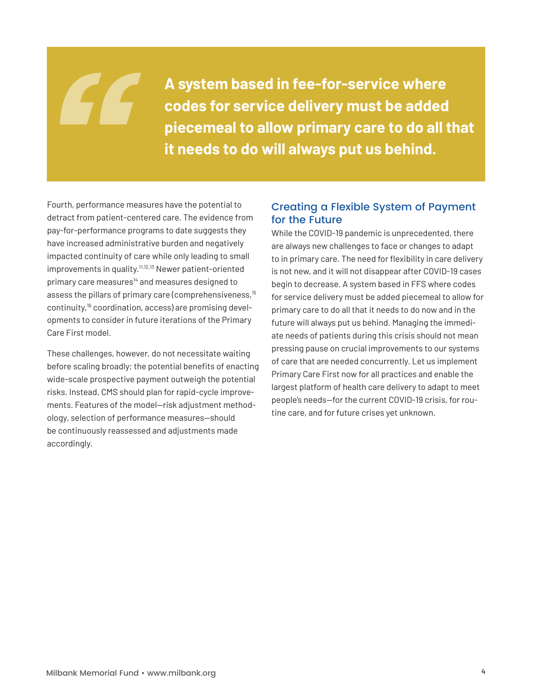**A system based in fee-for-service where codes for service delivery must be added piecemeal to allow primary care to do all that it needs to do will always put us behind.** 

Fourth, performance measures have the potential to detract from patient-centered care. The evidence from pay-for-performance programs to date suggests they have increased administrative burden and negatively impacted continuity of care while only leading to small improvements in quality.[11](#page-4-10)[,12,](#page-4-11)[13](#page-4-12) Newer patient-oriented primary care measures<sup>14</sup> and measures designed to assess the pillars of primary care (comprehensiveness,<sup>15</sup> continuity,[16](#page-4-15) coordination, access) are promising developments to consider in future iterations of the Primary Care First model.

These challenges, however, do not necessitate waiting before scaling broadly; the potential benefits of enacting wide-scale prospective payment outweigh the potential risks. Instead, CMS should plan for rapid-cycle improvements. Features of the model—risk adjustment methodology, selection of performance measures—should be continuously reassessed and adjustments made accordingly.

#### Creating a Flexible System of Payment for the Future

While the COVID-19 pandemic is unprecedented, there are always new challenges to face or changes to adapt to in primary care. The need for flexibility in care delivery is not new, and it will not disappear after COVID-19 cases begin to decrease. A system based in FFS where codes for service delivery must be added piecemeal to allow for primary care to do all that it needs to do now and in the future will always put us behind. Managing the immediate needs of patients during this crisis should not mean pressing pause on crucial improvements to our systems of care that are needed concurrently. Let us implement Primary Care First now for all practices and enable the largest platform of health care delivery to adapt to meet people's needs—for the current COVID-19 crisis, for routine care, and for future crises yet unknown.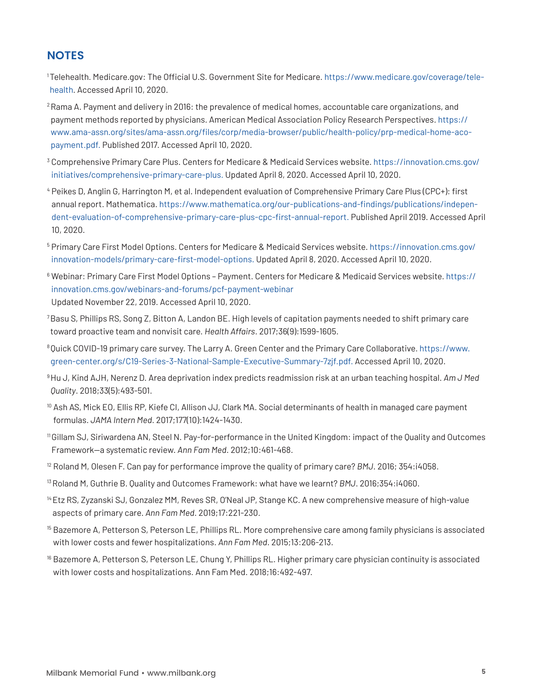### **NOTES**

- <span id="page-4-0"></span>1 Telehealth. Medicare.gov: The Official U.S. Government Site for Medicare. [https://www.medicare.gov/coverage/tele](https://www.medicare.gov/coverage/telehealth)[health.](https://www.medicare.gov/coverage/telehealth) Accessed April 10, 2020.
- <span id="page-4-1"></span><sup>2</sup> Rama A. Payment and delivery in 2016: the prevalence of medical homes, accountable care organizations, and payment methods reported by physicians. American Medical Association Policy Research Perspectives. [https://](https://www.ama-assn.org/sites/ama-assn.org/files/corp/media-browser/public/health-policy/prp-medical-home-aco-payment.pdf) [www.ama-assn.org/sites/ama-assn.org/files/corp/media-browser/public/health-policy/prp-medical-home-aco](https://www.ama-assn.org/sites/ama-assn.org/files/corp/media-browser/public/health-policy/prp-medical-home-aco-payment.pdf)[payment.pdf.](https://www.ama-assn.org/sites/ama-assn.org/files/corp/media-browser/public/health-policy/prp-medical-home-aco-payment.pdf) Published 2017. Accessed April 10, 2020.
- <span id="page-4-2"></span><sup>3</sup> Comprehensive Primary Care Plus. Centers for Medicare & Medicaid Services website. https://innovation.cms.gov/ initiatives/comprehensive-primary-care-plus. Updated April 8, 2020. Accessed April 10, 2020.
- <span id="page-4-3"></span><sup>4</sup> Peikes D, Anglin G, Harrington M, et al. Independent evaluation of Comprehensive Primary Care Plus (CPC+): first annual report. Mathematica. [https://www.mathematica.org/our-publications-and-findings/publications/indepen](https://www.mathematica.org/our-publications-and-findings/publications/independent-evaluation-of-comprehensive-primary-care-plus-cpc-first-annual-report)[dent-evaluation-of-comprehensive-primary-care-plus-cpc-first-annual-report](https://www.mathematica.org/our-publications-and-findings/publications/independent-evaluation-of-comprehensive-primary-care-plus-cpc-first-annual-report). Published April 2019. Accessed April 10, 2020.
- <span id="page-4-4"></span><sup>5</sup> Primary Care First Model Options. Centers for Medicare & Medicaid Services website. [https://innovation.cms.gov/](https://www.mathematica.org/our-publications-and-findings/publications/independent-evaluation-of-comprehensive-primary-care-plus-cpc-first-annual-report) [innovation-models/primary-care-first-model-options](https://www.mathematica.org/our-publications-and-findings/publications/independent-evaluation-of-comprehensive-primary-care-plus-cpc-first-annual-report). Updated April 8, 2020. Accessed April 10, 2020.
- <span id="page-4-5"></span><sup>6</sup> Webinar: Primary Care First Model Options – Payment. Centers for Medicare & Medicaid Services website. [https://](https://innovation.cms.gov/webinars-and-forums/pcf-payment-webinar) [innovation.cms.gov/webinars-and-forums/pcf-payment-webinar](https://innovation.cms.gov/webinars-and-forums/pcf-payment-webinar) Updated November 22, 2019. Accessed April 10, 2020.
- <span id="page-4-6"></span>7 Basu S, Phillips RS, Song Z, Bitton A, Landon BE. High levels of capitation payments needed to shift primary care toward proactive team and nonvisit care. *Health Affairs*. 2017;36(9):1599-1605.
- <span id="page-4-7"></span>8 Quick COVID-19 primary care survey. The Larry A. Green Center and the Primary Care Collaborative. [https://www.](https://static1.squarespace.com/static/5d7ff8184cf0e01e4566cb02/t/5e861fd6f218f93aefa2f0b8/1585848278581/C19+Series+3+National+Sample+Executive+Summary.pdf) [green-center.org/s/C19-Series-3-National-Sample-Executive-Summary-7zjf.pdf](https://static1.squarespace.com/static/5d7ff8184cf0e01e4566cb02/t/5e861fd6f218f93aefa2f0b8/1585848278581/C19+Series+3+National+Sample+Executive+Summary.pdf). Accessed April 10, 2020.
- <span id="page-4-8"></span>9 Hu J, Kind AJH, Nerenz D. Area deprivation index predicts readmission risk at an urban teaching hospital. *Am J Med Quality*. 2018;33(5):493-501.
- <span id="page-4-9"></span><sup>10</sup> Ash AS, Mick EO, Ellis RP, Kiefe CI, Allison JJ, Clark MA. Social determinants of health in managed care payment formulas. *JAMA Intern Med*. 2017;177(10):1424-1430.
- <span id="page-4-10"></span><sup>11</sup>Gillam SJ, Siriwardena AN, Steel N. Pay-for-performance in the United Kingdom: impact of the Quality and Outcomes Framework—a systematic review. *Ann Fam Med*. 2012;10:461-468.
- <span id="page-4-11"></span><sup>12</sup> Roland M, Olesen F. Can pay for performance improve the quality of primary care? *BMJ*. 2016; 354:i4058.
- <span id="page-4-12"></span><sup>13</sup>Roland M, Guthrie B. Quality and Outcomes Framework: what have we learnt? *BMJ*. 2016;354:i4060.
- <span id="page-4-13"></span>14 Etz RS, Zyzanski SJ, Gonzalez MM, Reves SR, O'Neal JP, Stange KC. A new comprehensive measure of high-value aspects of primary care. *Ann Fam Med*. 2019;17:221-230.
- <span id="page-4-14"></span> $^{15}$  Bazemore A, Petterson S, Peterson LE, Phillips RL. More comprehensive care among family physicians is associated with lower costs and fewer hospitalizations. *Ann Fam Med*. 2015;13:206-213.
- <span id="page-4-15"></span><sup>16</sup> Bazemore A, Petterson S, Peterson LE, Chung Y, Phillips RL. Higher primary care physician continuity is associated with lower costs and hospitalizations. Ann Fam Med. 2018;16:492-497.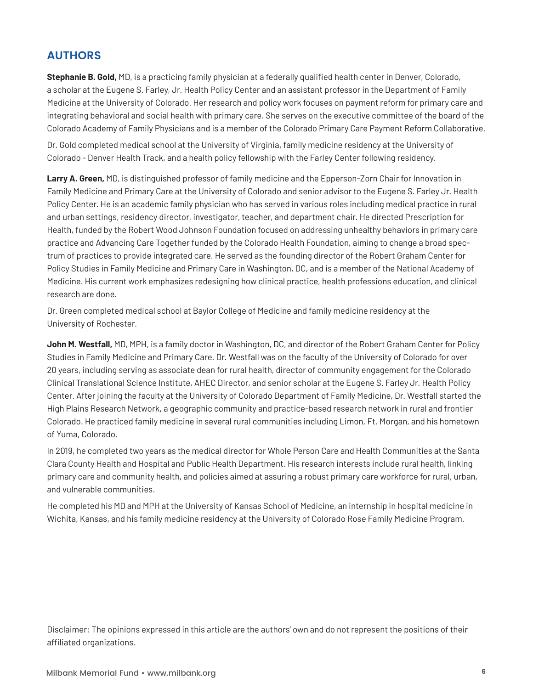## **AUTHORS**

**Stephanie B. Gold,** MD, is a practicing family physician at a federally qualified health center in Denver, Colorado, a scholar at the Eugene S. Farley, Jr. Health Policy Center and an assistant professor in the Department of Family Medicine at the University of Colorado. Her research and policy work focuses on payment reform for primary care and integrating behavioral and social health with primary care. She serves on the executive committee of the board of the Colorado Academy of Family Physicians and is a member of the Colorado Primary Care Payment Reform Collaborative.

Dr. Gold completed medical school at the University of Virginia, family medicine residency at the University of Colorado - Denver Health Track, and a health policy fellowship with the Farley Center following residency.

**Larry A. Green,** MD, is distinguished professor of family medicine and the Epperson-Zorn Chair for Innovation in Family Medicine and Primary Care at the University of Colorado and senior advisor to the Eugene S. Farley Jr. Health Policy Center. He is an academic family physician who has served in various roles including medical practice in rural and urban settings, residency director, investigator, teacher, and department chair. He directed Prescription for Health, funded by the Robert Wood Johnson Foundation focused on addressing unhealthy behaviors in primary care practice and Advancing Care Together funded by the Colorado Health Foundation, aiming to change a broad spectrum of practices to provide integrated care. He served as the founding director of the Robert Graham Center for Policy Studies in Family Medicine and Primary Care in Washington, DC, and is a member of the National Academy of Medicine. His current work emphasizes redesigning how clinical practice, health professions education, and clinical research are done.

Dr. Green completed medical school at Baylor College of Medicine and family medicine residency at the University of Rochester.

**John M. Westfall,** MD, MPH, is a family doctor in Washington, DC, and director of the Robert Graham Center for Policy Studies in Family Medicine and Primary Care. Dr. Westfall was on the faculty of the University of Colorado for over 20 years, including serving as associate dean for rural health, director of community engagement for the Colorado Clinical Translational Science Institute, AHEC Director, and senior scholar at the Eugene S. Farley Jr. Health Policy Center. After joining the faculty at the University of Colorado Department of Family Medicine, Dr. Westfall started the High Plains Research Network, a geographic community and practice-based research network in rural and frontier Colorado. He practiced family medicine in several rural communities including Limon, Ft. Morgan, and his hometown of Yuma, Colorado.

In 2019, he completed two years as the medical director for Whole Person Care and Health Communities at the Santa Clara County Health and Hospital and Public Health Department. His research interests include rural health, linking primary care and community health, and policies aimed at assuring a robust primary care workforce for rural, urban, and vulnerable communities.

He completed his MD and MPH at the University of Kansas School of Medicine, an internship in hospital medicine in Wichita, Kansas, and his family medicine residency at the University of Colorado Rose Family Medicine Program.

Disclaimer: The opinions expressed in this article are the authors' own and do not represent the positions of their affiliated organizations.